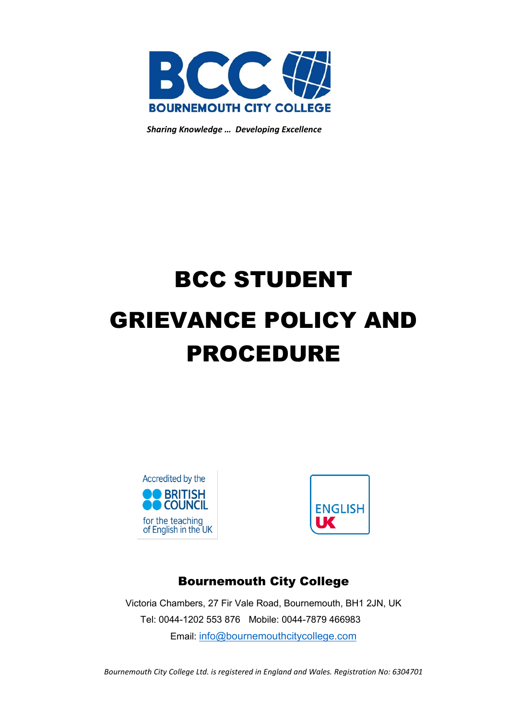

*Sharing Knowledge … Developing Excellence*

# BCC STUDENT GRIEVANCE POLICY AND PROCEDURE





## Bournemouth City College

Victoria Chambers, 27 Fir Vale Road, Bournemouth, BH1 2JN, UK Tel: 0044-1202 553 876 Mobile: 0044-7879 466983 Email: [info@bournemouthcitycollege.com](mailto:info@bournemouthcitycollege.com)

*Bournemouth City College Ltd. is registered in England and Wales. Registration No: 6304701*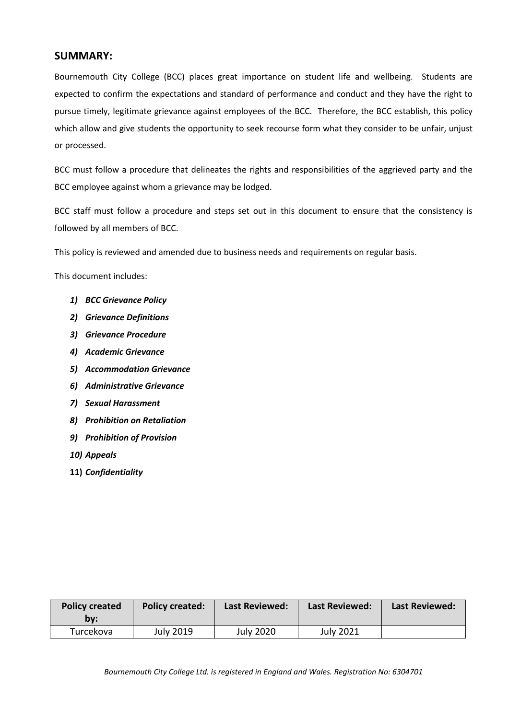## **SUMMARY:**

Bournemouth City College (BCC) places great importance on student life and wellbeing. Students are expected to confirm the expectations and standard of performance and conduct and they have the right to pursue timely, legitimate grievance against employees of the BCC. Therefore, the BCC establish, this policy which allow and give students the opportunity to seek recourse form what they consider to be unfair, unjust or processed.

BCC must follow a procedure that delineates the rights and responsibilities of the aggrieved party and the BCC employee against whom a grievance may be lodged.

BCC staff must follow a procedure and steps set out in this document to ensure that the consistency is followed by all members of BCC.

This policy is reviewed and amended due to business needs and requirements on regular basis.

This document includes:

- *1) BCC Grievance Policy*
- *2) Grievance Definitions*
- *3) Grievance Procedure*
- *4) Academic Grievance*
- *5) Accommodation Grievance*
- *6) Administrative Grievance*
- *7) Sexual Harassment*
- *8) Prohibition on Retaliation*
- *9) Prohibition of Provision*
- *10) Appeals*
- **11)** *Confidentiality*

| <b>Policy created</b><br>bv: | <b>Policy created:</b> | <b>Last Reviewed:</b> | <b>Last Reviewed:</b> | <b>Last Reviewed:</b> |
|------------------------------|------------------------|-----------------------|-----------------------|-----------------------|
| Turcekova                    | July 2019              | <b>July 2020</b>      | <b>July 2021</b>      |                       |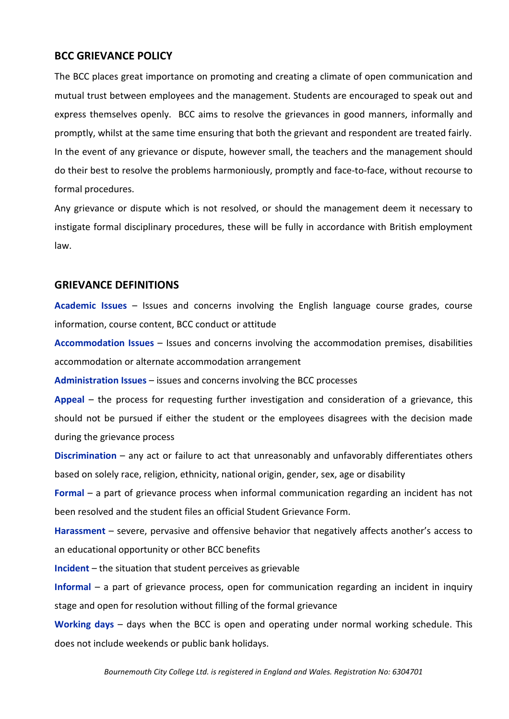## **BCC GRIEVANCE POLICY**

The BCC places great importance on promoting and creating a climate of open communication and mutual trust between employees and the management. Students are encouraged to speak out and express themselves openly. BCC aims to resolve the grievances in good manners, informally and promptly, whilst at the same time ensuring that both the grievant and respondent are treated fairly. In the event of any grievance or dispute, however small, the teachers and the management should do their best to resolve the problems harmoniously, promptly and face-to-face, without recourse to formal procedures.

Any grievance or dispute which is not resolved, or should the management deem it necessary to instigate formal disciplinary procedures, these will be fully in accordance with British employment law.

## **GRIEVANCE DEFINITIONS**

**Academic Issues** – Issues and concerns involving the English language course grades, course information, course content, BCC conduct or attitude

**Accommodation Issues** – Issues and concerns involving the accommodation premises, disabilities accommodation or alternate accommodation arrangement

**Administration Issues** – issues and concerns involving the BCC processes

**Appeal** – the process for requesting further investigation and consideration of a grievance, this should not be pursued if either the student or the employees disagrees with the decision made during the grievance process

**Discrimination** – any act or failure to act that unreasonably and unfavorably differentiates others based on solely race, religion, ethnicity, national origin, gender, sex, age or disability

**Formal** – a part of grievance process when informal communication regarding an incident has not been resolved and the student files an official Student Grievance Form.

**Harassment** – severe, pervasive and offensive behavior that negatively affects another's access to an educational opportunity or other BCC benefits

**Incident** – the situation that student perceives as grievable

**Informal** – a part of grievance process, open for communication regarding an incident in inquiry stage and open for resolution without filling of the formal grievance

**Working days** – days when the BCC is open and operating under normal working schedule. This does not include weekends or public bank holidays.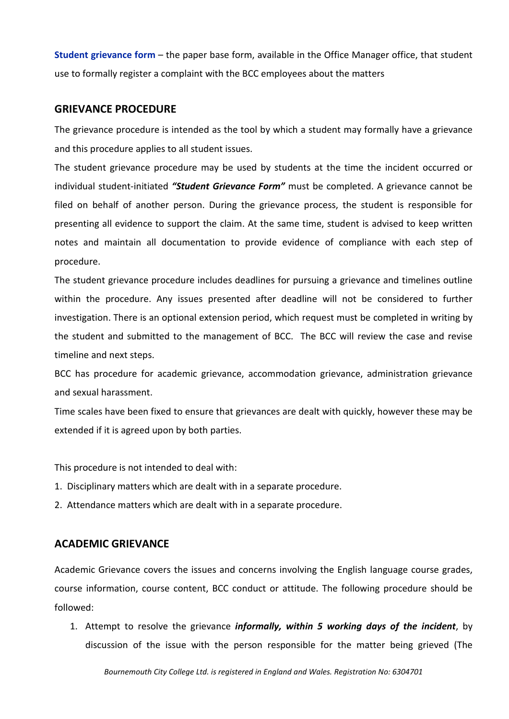**Student grievance form** – the paper base form, available in the Office Manager office, that student use to formally register a complaint with the BCC employees about the matters

#### **GRIEVANCE PROCEDURE**

The grievance procedure is intended as the tool by which a student may formally have a grievance and this procedure applies to all student issues.

The student grievance procedure may be used by students at the time the incident occurred or individual student-initiated *"Student Grievance Form"* must be completed. A grievance cannot be filed on behalf of another person. During the grievance process, the student is responsible for presenting all evidence to support the claim. At the same time, student is advised to keep written notes and maintain all documentation to provide evidence of compliance with each step of procedure.

The student grievance procedure includes deadlines for pursuing a grievance and timelines outline within the procedure. Any issues presented after deadline will not be considered to further investigation. There is an optional extension period, which request must be completed in writing by the student and submitted to the management of BCC. The BCC will review the case and revise timeline and next steps.

BCC has procedure for academic grievance, accommodation grievance, administration grievance and sexual harassment.

Time scales have been fixed to ensure that grievances are dealt with quickly, however these may be extended if it is agreed upon by both parties.

This procedure is not intended to deal with:

- 1. Disciplinary matters which are dealt with in a separate procedure.
- 2. Attendance matters which are dealt with in a separate procedure.

## **ACADEMIC GRIEVANCE**

Academic Grievance covers the issues and concerns involving the English language course grades, course information, course content, BCC conduct or attitude. The following procedure should be followed:

1. Attempt to resolve the grievance *informally, within 5 working days of the incident*, by discussion of the issue with the person responsible for the matter being grieved (The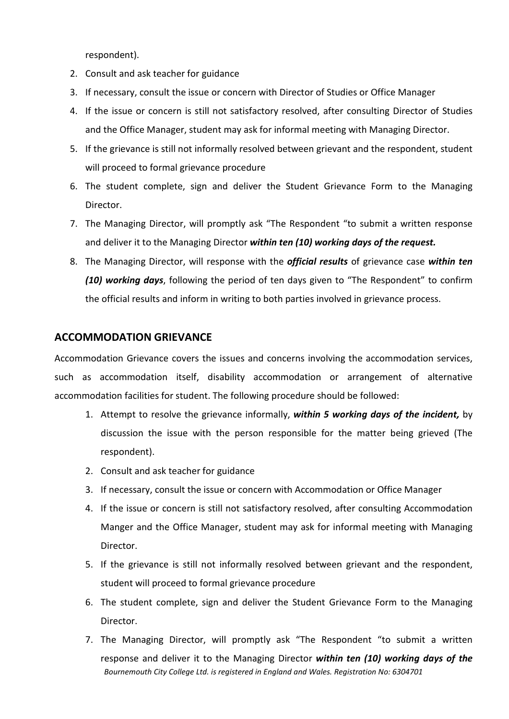respondent).

- 2. Consult and ask teacher for guidance
- 3. If necessary, consult the issue or concern with Director of Studies or Office Manager
- 4. If the issue or concern is still not satisfactory resolved, after consulting Director of Studies and the Office Manager, student may ask for informal meeting with Managing Director.
- 5. If the grievance is still not informally resolved between grievant and the respondent, student will proceed to formal grievance procedure
- 6. The student complete, sign and deliver the Student Grievance Form to the Managing Director.
- 7. The Managing Director, will promptly ask "The Respondent "to submit a written response and deliver it to the Managing Director *within ten (10) working days of the request.*
- 8. The Managing Director, will response with the *official results* of grievance case *within ten (10) working days*, following the period of ten days given to "The Respondent" to confirm the official results and inform in writing to both parties involved in grievance process.

## **ACCOMMODATION GRIEVANCE**

Accommodation Grievance covers the issues and concerns involving the accommodation services, such as accommodation itself, disability accommodation or arrangement of alternative accommodation facilities for student. The following procedure should be followed:

- 1. Attempt to resolve the grievance informally, *within 5 working days of the incident,* by discussion the issue with the person responsible for the matter being grieved (The respondent).
- 2. Consult and ask teacher for guidance
- 3. If necessary, consult the issue or concern with Accommodation or Office Manager
- 4. If the issue or concern is still not satisfactory resolved, after consulting Accommodation Manger and the Office Manager, student may ask for informal meeting with Managing Director.
- 5. If the grievance is still not informally resolved between grievant and the respondent, student will proceed to formal grievance procedure
- 6. The student complete, sign and deliver the Student Grievance Form to the Managing Director.
- *Bournemouth City College Ltd. is registered in England and Wales. Registration No: 6304701* 7. The Managing Director, will promptly ask "The Respondent "to submit a written response and deliver it to the Managing Director *within ten (10) working days of the*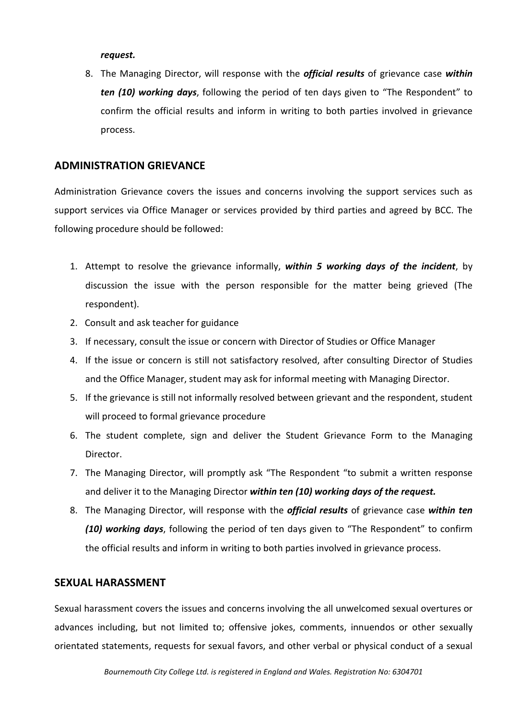#### *request.*

8. The Managing Director, will response with the *official results* of grievance case *within ten (10) working days*, following the period of ten days given to "The Respondent" to confirm the official results and inform in writing to both parties involved in grievance process.

## **ADMINISTRATION GRIEVANCE**

Administration Grievance covers the issues and concerns involving the support services such as support services via Office Manager or services provided by third parties and agreed by BCC. The following procedure should be followed:

- 1. Attempt to resolve the grievance informally, *within 5 working days of the incident*, by discussion the issue with the person responsible for the matter being grieved (The respondent).
- 2. Consult and ask teacher for guidance
- 3. If necessary, consult the issue or concern with Director of Studies or Office Manager
- 4. If the issue or concern is still not satisfactory resolved, after consulting Director of Studies and the Office Manager, student may ask for informal meeting with Managing Director.
- 5. If the grievance is still not informally resolved between grievant and the respondent, student will proceed to formal grievance procedure
- 6. The student complete, sign and deliver the Student Grievance Form to the Managing Director.
- 7. The Managing Director, will promptly ask "The Respondent "to submit a written response and deliver it to the Managing Director *within ten (10) working days of the request.*
- 8. The Managing Director, will response with the *official results* of grievance case *within ten (10) working days*, following the period of ten days given to "The Respondent" to confirm the official results and inform in writing to both parties involved in grievance process.

## **SEXUAL HARASSMENT**

Sexual harassment covers the issues and concerns involving the all unwelcomed sexual overtures or advances including, but not limited to; offensive jokes, comments, innuendos or other sexually orientated statements, requests for sexual favors, and other verbal or physical conduct of a sexual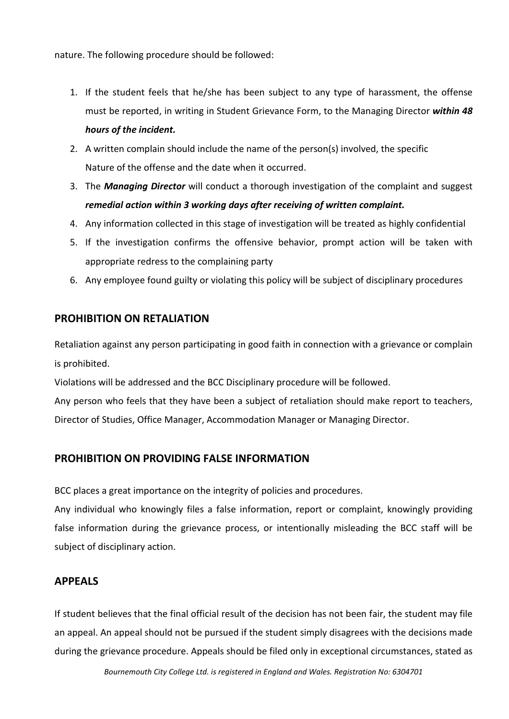nature. The following procedure should be followed:

- 1. If the student feels that he/she has been subject to any type of harassment, the offense must be reported, in writing in Student Grievance Form, to the Managing Director *within 48 hours of the incident.*
- 2. A written complain should include the name of the person(s) involved, the specific Nature of the offense and the date when it occurred.
- 3. The *Managing Director* will conduct a thorough investigation of the complaint and suggest *remedial action within 3 working days after receiving of written complaint.*
- 4. Any information collected in this stage of investigation will be treated as highly confidential
- 5. If the investigation confirms the offensive behavior, prompt action will be taken with appropriate redress to the complaining party
- 6. Any employee found guilty or violating this policy will be subject of disciplinary procedures

## **PROHIBITION ON RETALIATION**

Retaliation against any person participating in good faith in connection with a grievance or complain is prohibited.

Violations will be addressed and the BCC Disciplinary procedure will be followed.

Any person who feels that they have been a subject of retaliation should make report to teachers, Director of Studies, Office Manager, Accommodation Manager or Managing Director.

## **PROHIBITION ON PROVIDING FALSE INFORMATION**

BCC places a great importance on the integrity of policies and procedures.

Any individual who knowingly files a false information, report or complaint, knowingly providing false information during the grievance process, or intentionally misleading the BCC staff will be subject of disciplinary action.

## **APPEALS**

If student believes that the final official result of the decision has not been fair, the student may file an appeal. An appeal should not be pursued if the student simply disagrees with the decisions made during the grievance procedure. Appeals should be filed only in exceptional circumstances, stated as